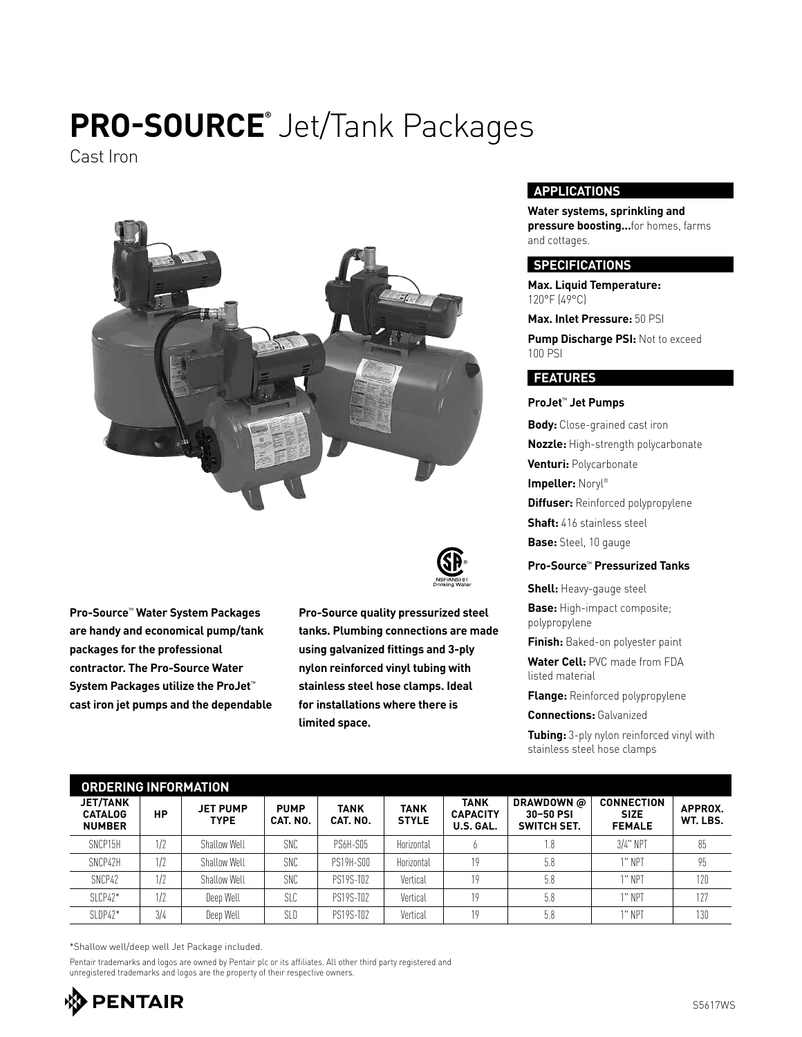## **PRO-SOURCE®** Jet/Tank Packages

Cast Iron



**Pro-Source**™ **Water System Packages are handy and economical pump/tank packages for the professional contractor. The Pro-Source Water System Packages utilize the ProJet**™ **cast iron jet pumps and the dependable**



**Pro-Source quality pressurized steel tanks. Plumbing connections are made using galvanized fittings and 3-ply nylon reinforced vinyl tubing with stainless steel hose clamps. Ideal for installations where there is limited space.**

### **APPLICATIONS**

**Water systems, sprinkling and pressure boosting...**for homes, farms and cottages.

#### **SPECIFICATIONS**

**Max. Liquid Temperature:**  120°F (49°C)

**Max. Inlet Pressure:** 50 PSI

**Pump Discharge PSI: Not to exceed** 100 PSI

#### **FEATURES**

**ProJet**™ **Jet Pumps**

**Body:** Close-grained cast iron **Nozzle:** High-strength polycarbonate **Venturi:** Polycarbonate **Impeller:** Noryl® **Diffuser:** Reinforced polypropylene **Shaft:** 416 stainless steel **Base:** Steel, 10 gauge

#### **Pro-Source**™ **Pressurized Tanks**

**Shell:** Heavy-gauge steel **Base:** High-impact composite; polypropylene

**Finish:** Baked-on polyester paint

**Water Cell:** PVC made from FDA listed material

**Flange:** Reinforced polypropylene

**Connections:** Galvanized

**Tubing:** 3-ply nylon reinforced vinyl with stainless steel hose clamps

| <b>ORDERING INFORMATION</b>                        |     |                                |                         |                  |                             |                                      |                                               |                                                   |                     |  |
|----------------------------------------------------|-----|--------------------------------|-------------------------|------------------|-----------------------------|--------------------------------------|-----------------------------------------------|---------------------------------------------------|---------------------|--|
| <b>JET/TANK</b><br><b>CATALOG</b><br><b>NUMBER</b> | НP  | <b>JET PUMP</b><br><b>TYPE</b> | <b>PUMP</b><br>CAT. NO. | TANK<br>CAT. NO. | <b>TANK</b><br><b>STYLE</b> | TANK<br><b>CAPACITY</b><br>U.S. GAL. | DRAWDOWN @<br>30-50 PSI<br><b>SWITCH SET.</b> | <b>CONNECTION</b><br><b>SIZE</b><br><b>FEMALE</b> | APPROX.<br>WT. LBS. |  |
| SNCP15H                                            | 1/2 | Shallow Well                   | SNC                     | <b>PS6H-S05</b>  | Horizontal                  |                                      | 1.8                                           | $3/4$ " NPT                                       | 85                  |  |
| SNCP42H                                            | 1/2 | Shallow Well                   | <b>SNC</b>              | PS19H-SOO        | Horizontal                  | 19                                   | 5.8                                           | 1" NPT                                            | 95                  |  |
| SNCP42                                             | 1/2 | Shallow Well                   | SNC                     | PS19S-T02        | Vertical                    | 19                                   | 5.8                                           | 1" NPT                                            | 120                 |  |
| $SLCP42*$                                          | 1/2 | Deep Well                      | SLC                     | PS19S-T02        | Vertical                    | 10                                   | 5.8                                           | 1" NPT                                            | 177                 |  |
| $SLDP42*$                                          | 3/4 | Deep Well                      | SLD                     | PS19S-T02        | Vertical                    | 19                                   | 5.8                                           | 1" NPT                                            | 130                 |  |

\*Shallow well/deep well Jet Package included.

Pentair trademarks and logos are owned by Pentair plc or its affiliates. All other third party registered and unregistered trademarks and logos are the property of their respective owners.

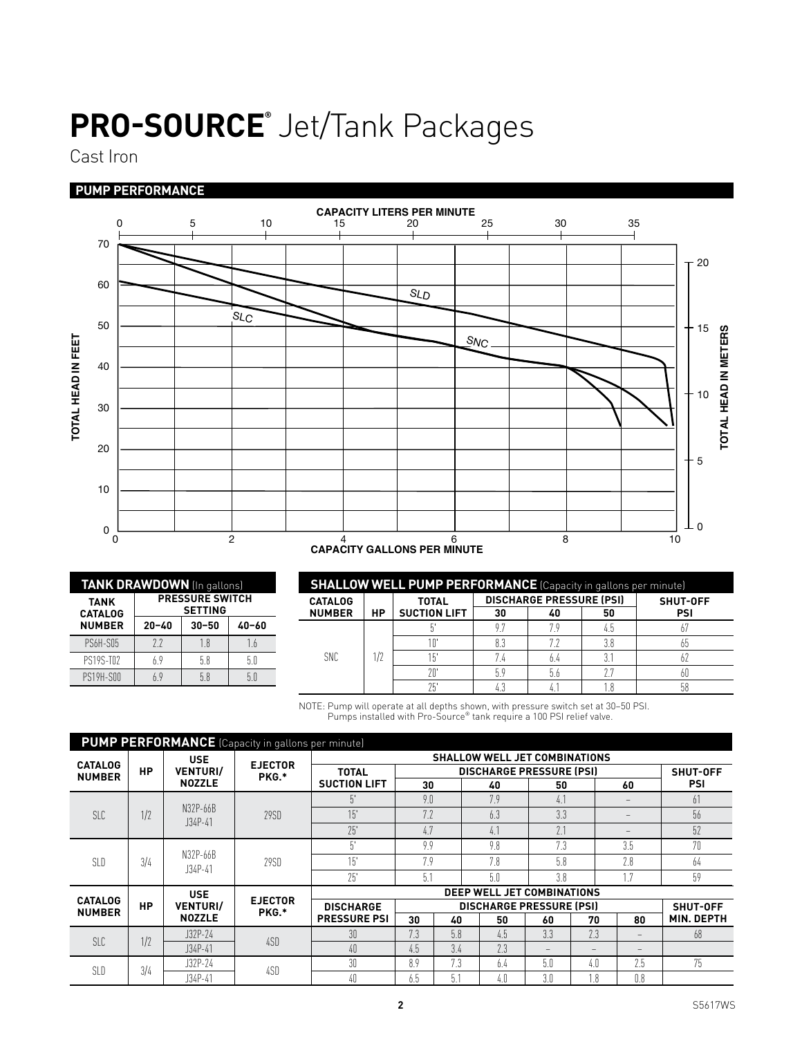## **PRO-SOURCE®** Jet/Tank Packages

Cast Iron

### **PUMP PERFORMANCE**



| TANK DRAWDOWN (In gallons)    |                                          |           |           |  |  |  |  |  |
|-------------------------------|------------------------------------------|-----------|-----------|--|--|--|--|--|
| <b>TANK</b><br><b>CATALOG</b> | <b>PRESSURE SWITCH</b><br><b>SETTING</b> |           |           |  |  |  |  |  |
| <b>NUMBER</b>                 | $20 - 40$                                | $30 - 50$ | $40 - 60$ |  |  |  |  |  |
| <b>PS6H-S05</b>               | 72                                       | 1.8       | 1.6       |  |  |  |  |  |
| PS19S-T02                     | 69                                       | 58        | 50        |  |  |  |  |  |
| PS19H-SOO                     | 69                                       | 5.8       | 50        |  |  |  |  |  |

| <b>SHALLOW WELL PUMP PERFORMANCE</b> (Capacity in gallons per minute), |    |                     |     |                                 |                 |     |  |  |
|------------------------------------------------------------------------|----|---------------------|-----|---------------------------------|-----------------|-----|--|--|
| <b>CATALOG</b>                                                         | НP | <b>TOTAL</b>        |     | <b>DISCHARGE PRESSURE (PSI)</b> | <b>SHUT-OFF</b> |     |  |  |
| <b>NUMBER</b>                                                          |    | <b>SUCTION LIFT</b> | 30  | 40                              | 50              | PSI |  |  |
|                                                                        | 17 |                     | 9.7 |                                 |                 |     |  |  |
|                                                                        |    |                     | 8.3 |                                 |                 | 65  |  |  |
| <b>SNC</b>                                                             |    | 15                  |     |                                 |                 | b/  |  |  |
|                                                                        |    | 20                  | 5.9 | 5.6                             |                 | 60  |  |  |
|                                                                        |    | 75                  | 4.3 |                                 |                 | 58  |  |  |

NOTE: Pump will operate at all depths shown, with pressure switch set at 30–50 PSI. Pumps installed with Pro-Source® tank require a 100 PSI relief valve.

| <b>PUMP PERFORMANCE</b> (Capacity in gallons per minute) |           |                                                |                         |                                      |                                 |                                 |     |     |     |                                   |                   |  |
|----------------------------------------------------------|-----------|------------------------------------------------|-------------------------|--------------------------------------|---------------------------------|---------------------------------|-----|-----|-----|-----------------------------------|-------------------|--|
| <b>CATALOG</b>                                           | <b>HP</b> | <b>USE</b><br><b>VENTURI/</b><br><b>NOZZLE</b> | <b>EJECTOR</b><br>PKG.* | <b>SHALLOW WELL JET COMBINATIONS</b> |                                 |                                 |     |     |     |                                   |                   |  |
| <b>NUMBER</b>                                            |           |                                                |                         | <b>TOTAL</b><br><b>SUCTION LIFT</b>  | <b>DISCHARGE PRESSURE (PSI)</b> |                                 |     |     |     |                                   | SHUT-OFF          |  |
|                                                          |           |                                                |                         |                                      | 30                              |                                 | 40  | 50  |     | 60                                | <b>PSI</b>        |  |
| SLC                                                      | 1/2       | N32P-66B<br>$J34P-41$                          | 29SD                    | $5^{\circ}$                          | 9.0                             |                                 | 7.9 | 4.1 |     |                                   | 61                |  |
|                                                          |           |                                                |                         | 15'                                  | 7.2                             |                                 | 6.3 | 3.3 |     | $\qquad \qquad -$                 | 56                |  |
|                                                          |           |                                                |                         | 75'                                  | 4.7                             |                                 | 4.1 | 7.1 |     |                                   | 52                |  |
| SLD                                                      |           | N32P-66B<br>$J34P-41$                          | 29SD                    | 51                                   | 9.9                             |                                 | 9.8 | 7.3 |     | 3.5                               | 70                |  |
|                                                          | 3/4       |                                                |                         | 15'                                  | 7.9                             |                                 | 7.8 | 5.8 |     | 7.8                               | 64                |  |
|                                                          |           |                                                |                         | 75'                                  | 5.1                             |                                 | 5.0 | 3.8 |     | 17                                | 59                |  |
| <b>CATALOG</b><br><b>NUMBER</b>                          |           | <b>USE</b><br><b>VENTURI/</b><br><b>NOZZLE</b> | <b>EJECTOR</b><br>PKG.* | DEEP WELL JET COMBINATIONS           |                                 |                                 |     |     |     |                                   |                   |  |
|                                                          | <b>HP</b> |                                                |                         | <b>DISCHARGE</b>                     |                                 | <b>DISCHARGE PRESSURE (PSI)</b> |     |     |     |                                   | <b>SHUT-OFF</b>   |  |
|                                                          |           |                                                |                         | <b>PRESSURE PSI</b>                  | 30                              | 40                              | 50  | 60  | 70  | 80                                | <b>MIN. DEPTH</b> |  |
| SLC                                                      | 1/2       | J32P-24                                        | 4SD                     | 30 <sup>°</sup>                      | 7.3                             | 5.8                             | 4.5 | 3.3 | 7.3 | -                                 | 68                |  |
|                                                          |           | $J34P-41$                                      |                         | 40                                   | 4.5                             | 3.4                             | 2.3 |     | $-$ | $\hspace{0.1cm} - \hspace{0.1cm}$ |                   |  |
| SLD                                                      | 3/4       | J32P-24                                        | 4SD                     | 30                                   | 8.9                             | 7.3                             | 6.4 | 5.0 | 4.0 | 7.5                               | 75                |  |
|                                                          |           | $J34P-41$                                      |                         | 40                                   | 6.5                             | 5.1                             | 4.0 | 3.0 | 1.8 | 0.8                               |                   |  |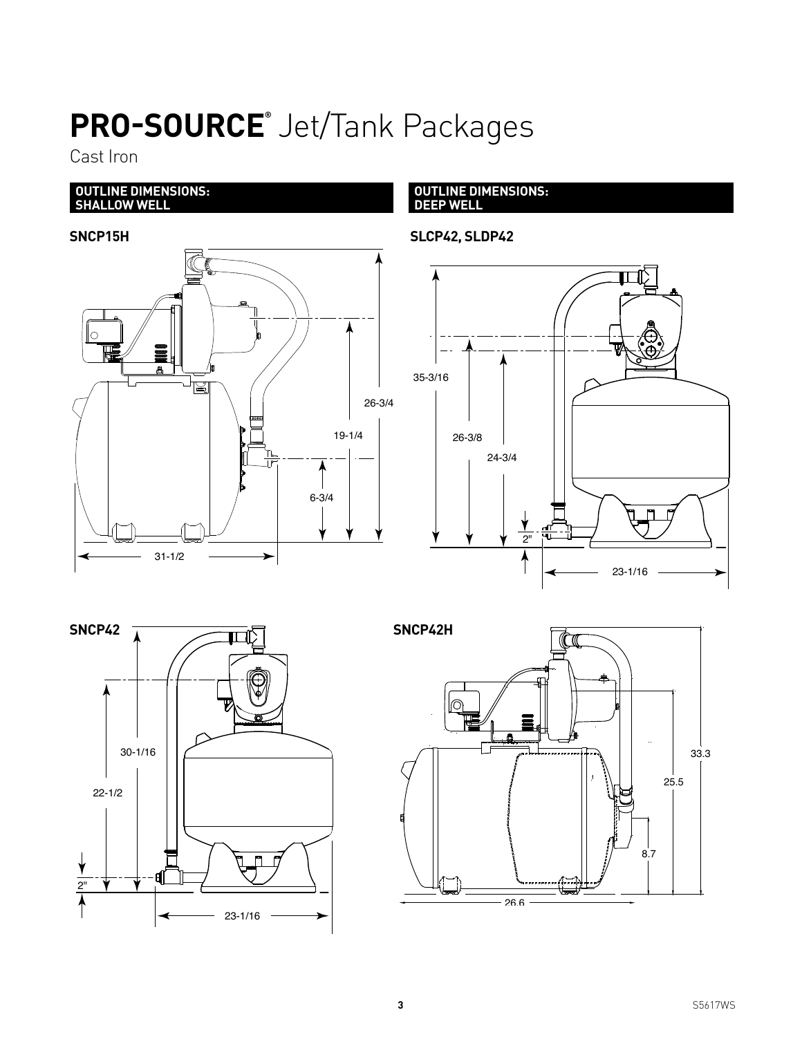# **PRO-SOURCE®** Jet/Tank Packages

Cast Iron

#### **OUTLINE DIMENSIONS: SHALLOW WELL**



**OUTLINE DIMENSIONS: DEEP WELL**

**SLCP42, SLDP42**